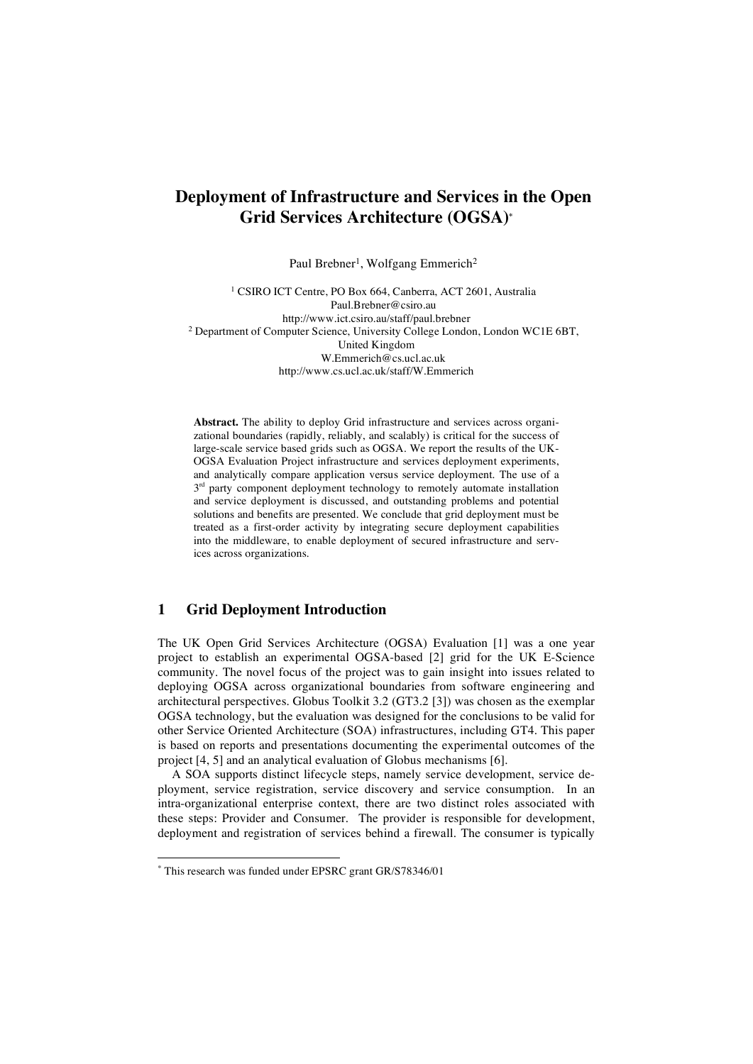# **Deployment of Infrastructure and Services in the Open Grid Services Architecture (OGSA)\***

Paul Brebner<sup>1</sup>, Wolfgang Emmerich<sup>2</sup>

1 CSIRO ICT Centre, PO Box 664, Canberra, ACT 2601, Australia Paul.Brebner@csiro.au http://www.ict.csiro.au/staff/paul.brebner 2 Department of Computer Science, University College London, London WC1E 6BT, United Kingdom W.Emmerich@cs.ucl.ac.uk http://www.cs.ucl.ac.uk/staff/W.Emmerich

**Abstract.** The ability to deploy Grid infrastructure and services across organizational boundaries (rapidly, reliably, and scalably) is critical for the success of large-scale service based grids such as OGSA. We report the results of the UK-OGSA Evaluation Project infrastructure and services deployment experiments, and analytically compare application versus service deployment. The use of a  $3<sup>rd</sup>$  party component deployment technology to remotely automate installation and service deployment is discussed, and outstanding problems and potential solutions and benefits are presented. We conclude that grid deployment must be treated as a first-order activity by integrating secure deployment capabilities into the middleware, to enable deployment of secured infrastructure and services across organizations.

## **1 Grid Deployment Introduction**

The UK Open Grid Services Architecture (OGSA) Evaluation [1] was a one year project to establish an experimental OGSA-based [2] grid for the UK E-Science community. The novel focus of the project was to gain insight into issues related to deploying OGSA across organizational boundaries from software engineering and architectural perspectives. Globus Toolkit 3.2 (GT3.2 [3]) was chosen as the exemplar OGSA technology, but the evaluation was designed for the conclusions to be valid for other Service Oriented Architecture (SOA) infrastructures, including GT4. This paper is based on reports and presentations documenting the experimental outcomes of the project [4, 5] and an analytical evaluation of Globus mechanisms [6].

A SOA supports distinct lifecycle steps, namely service development, service deployment, service registration, service discovery and service consumption. In an intra-organizational enterprise context, there are two distinct roles associated with these steps: Provider and Consumer. The provider is responsible for development, deployment and registration of services behind a firewall. The consumer is typically

-

<sup>\*</sup> This research was funded under EPSRC grant GR/S78346/01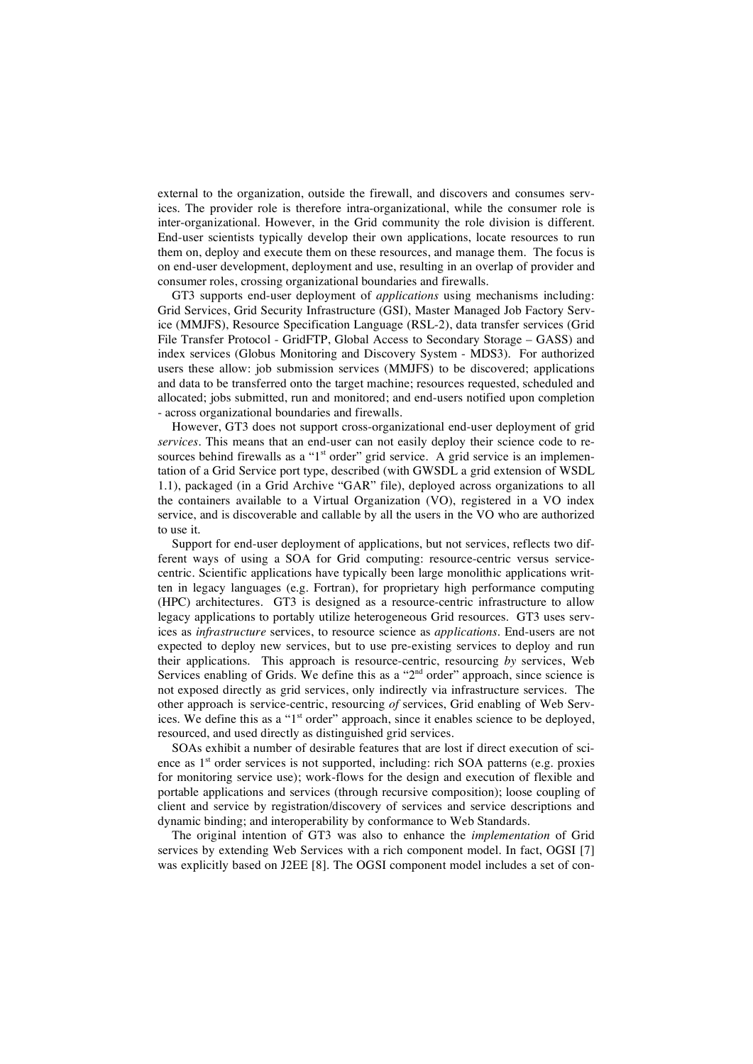external to the organization, outside the firewall, and discovers and consumes services. The provider role is therefore intra-organizational, while the consumer role is inter-organizational. However, in the Grid community the role division is different. End-user scientists typically develop their own applications, locate resources to run them on, deploy and execute them on these resources, and manage them. The focus is on end-user development, deployment and use, resulting in an overlap of provider and consumer roles, crossing organizational boundaries and firewalls.

GT3 supports end-user deployment of *applications* using mechanisms including: Grid Services, Grid Security Infrastructure (GSI), Master Managed Job Factory Service (MMJFS), Resource Specification Language (RSL-2), data transfer services (Grid File Transfer Protocol - GridFTP, Global Access to Secondary Storage – GASS) and index services (Globus Monitoring and Discovery System - MDS3). For authorized users these allow: job submission services (MMJFS) to be discovered; applications and data to be transferred onto the target machine; resources requested, scheduled and allocated; jobs submitted, run and monitored; and end-users notified upon completion - across organizational boundaries and firewalls.

However, GT3 does not support cross-organizational end-user deployment of grid *services.* This means that an end-user can not easily deploy their science code to resources behind firewalls as a " $1<sup>st</sup>$  order" grid service. A grid service is an implementation of a Grid Service port type, described (with GWSDL a grid extension of WSDL 1.1), packaged (in a Grid Archive "GAR" file), deployed across organizations to all the containers available to a Virtual Organization (VO), registered in a VO index service, and is discoverable and callable by all the users in the VO who are authorized to use it.

Support for end-user deployment of applications, but not services, reflects two different ways of using a SOA for Grid computing: resource-centric versus servicecentric. Scientific applications have typically been large monolithic applications written in legacy languages (e.g. Fortran), for proprietary high performance computing (HPC) architectures. GT3 is designed as a resource-centric infrastructure to allow legacy applications to portably utilize heterogeneous Grid resources. GT3 uses services as *infrastructure* services, to resource science as *applications*. End-users are not expected to deploy new services, but to use pre-existing services to deploy and run their applications. This approach is resource-centric, resourcing *by* services, Web Services enabling of Grids. We define this as a "2<sup>nd</sup> order" approach, since science is not exposed directly as grid services, only indirectly via infrastructure services. The other approach is service-centric, resourcing *of* services, Grid enabling of Web Services. We define this as a " $1<sup>st</sup>$  order" approach, since it enables science to be deployed, resourced, and used directly as distinguished grid services.

SOAs exhibit a number of desirable features that are lost if direct execution of science as  $1<sup>st</sup>$  order services is not supported, including: rich SOA patterns (e.g. proxies for monitoring service use); work-flows for the design and execution of flexible and portable applications and services (through recursive composition); loose coupling of client and service by registration/discovery of services and service descriptions and dynamic binding; and interoperability by conformance to Web Standards.

The original intention of GT3 was also to enhance the *implementation* of Grid services by extending Web Services with a rich component model. In fact, OGSI [7] was explicitly based on J2EE [8]. The OGSI component model includes a set of con-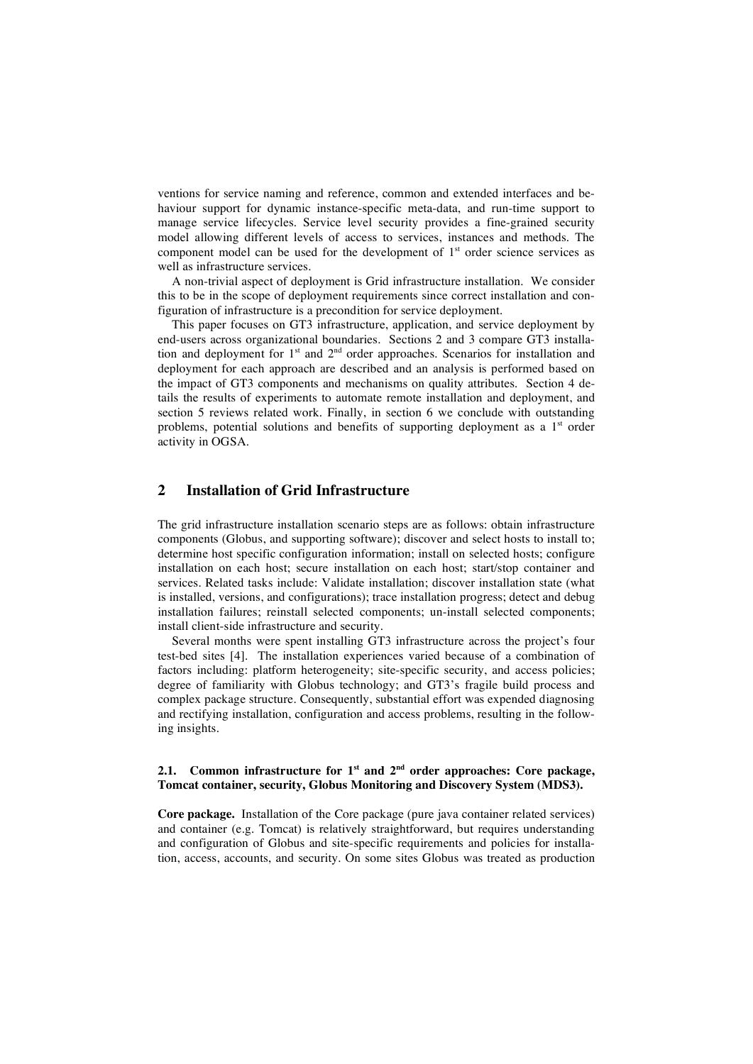ventions for service naming and reference, common and extended interfaces and behaviour support for dynamic instance-specific meta-data, and run-time support to manage service lifecycles. Service level security provides a fine-grained security model allowing different levels of access to services, instances and methods. The component model can be used for the development of  $1<sup>st</sup>$  order science services as well as infrastructure services.

A non-trivial aspect of deployment is Grid infrastructure installation. We consider this to be in the scope of deployment requirements since correct installation and configuration of infrastructure is a precondition for service deployment.

This paper focuses on GT3 infrastructure, application, and service deployment by end-users across organizational boundaries. Sections 2 and 3 compare GT3 installation and deployment for  $1<sup>st</sup>$  and  $2<sup>nd</sup>$  order approaches. Scenarios for installation and deployment for each approach are described and an analysis is performed based on the impact of GT3 components and mechanisms on quality attributes. Section 4 details the results of experiments to automate remote installation and deployment, and section 5 reviews related work. Finally, in section 6 we conclude with outstanding problems, potential solutions and benefits of supporting deployment as a  $1<sup>st</sup>$  order activity in OGSA.

## **2 Installation of Grid Infrastructure**

The grid infrastructure installation scenario steps are as follows: obtain infrastructure components (Globus, and supporting software); discover and select hosts to install to; determine host specific configuration information; install on selected hosts; configure installation on each host; secure installation on each host; start/stop container and services. Related tasks include: Validate installation; discover installation state (what is installed, versions, and configurations); trace installation progress; detect and debug installation failures; reinstall selected components; un-install selected components; install client-side infrastructure and security.

Several months were spent installing GT3 infrastructure across the project's four test-bed sites [4]. The installation experiences varied because of a combination of factors including: platform heterogeneity; site-specific security, and access policies; degree of familiarity with Globus technology; and GT3's fragile build process and complex package structure. Consequently, substantial effort was expended diagnosing and rectifying installation, configuration and access problems, resulting in the following insights.

## **2.1. Common infrastructure for 1st and 2nd order approaches: Core package, Tomcat container, security, Globus Monitoring and Discovery System (MDS3).**

**Core package.** Installation of the Core package (pure java container related services) and container (e.g. Tomcat) is relatively straightforward, but requires understanding and configuration of Globus and site-specific requirements and policies for installation, access, accounts, and security. On some sites Globus was treated as production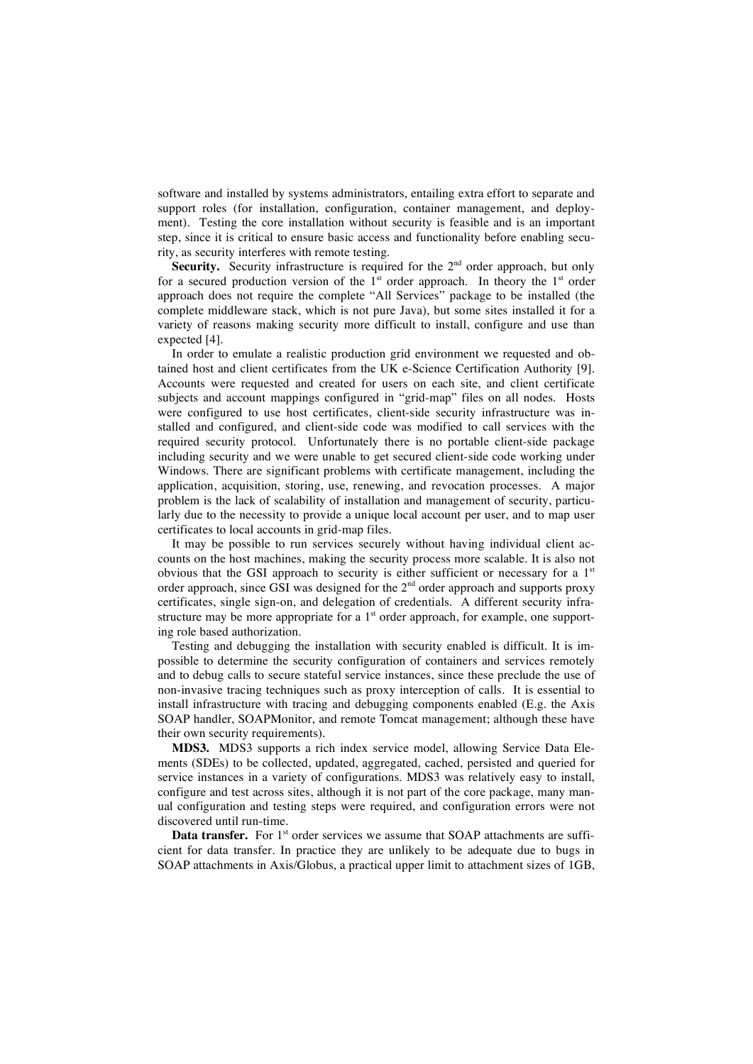software and installed by systems administrators, entailing extra effort to separate and support roles (for installation, configuration, container management, and deployment). Testing the core installation without security is feasible and is an important step, since it is critical to ensure basic access and functionality before enabling security, as security interferes with remote testing.

**Security.** Security infrastructure is required for the 2<sup>nd</sup> order approach, but only for a secured production version of the  $1<sup>st</sup>$  order approach. In theory the  $1<sup>st</sup>$  order approach does not require the complete "All Services" package to be installed (the complete middleware stack, which is not pure Java), but some sites installed it for a variety of reasons making security more difficult to install, configure and use than expected [4].

In order to emulate a realistic production grid environment we requested and obtained host and client certificates from the UK e-Science Certification Authority [9]. Accounts were requested and created for users on each site, and client certificate subjects and account mappings configured in "grid-map" files on all nodes. Hosts were configured to use host certificates, client-side security infrastructure was installed and configured, and client-side code was modified to call services with the required security protocol. Unfortunately there is no portable client-side package including security and we were unable to get secured client-side code working under Windows. There are significant problems with certificate management, including the application, acquisition, storing, use, renewing, and revocation processes. A major problem is the lack of scalability of installation and management of security, particularly due to the necessity to provide a unique local account per user, and to map user certificates to local accounts in grid-map files.

It may be possible to run services securely without having individual client accounts on the host machines, making the security process more scalable. It is also not obvious that the GSI approach to security is either sufficient or necessary for a 1st order approach, since GSI was designed for the  $2<sup>nd</sup>$  order approach and supports proxy certificates, single sign-on, and delegation of credentials. A different security infrastructure may be more appropriate for a  $1<sup>st</sup>$  order approach, for example, one supporting role based authorization.

Testing and debugging the installation with security enabled is difficult. It is impossible to determine the security configuration of containers and services remotely and to debug calls to secure stateful service instances, since these preclude the use of non-invasive tracing techniques such as proxy interception of calls. It is essential to install infrastructure with tracing and debugging components enabled (E.g. the Axis SOAP handler, SOAPMonitor, and remote Tomcat management; although these have their own security requirements).

**MDS3.** MDS3 supports a rich index service model, allowing Service Data Elements (SDEs) to be collected, updated, aggregated, cached, persisted and queried for service instances in a variety of configurations. MDS3 was relatively easy to install, configure and test across sites, although it is not part of the core package, many manual configuration and testing steps were required, and configuration errors were not discovered until run-time.

**Data transfer.** For 1<sup>st</sup> order services we assume that SOAP attachments are sufficient for data transfer. In practice they are unlikely to be adequate due to bugs in SOAP attachments in Axis/Globus, a practical upper limit to attachment sizes of 1GB,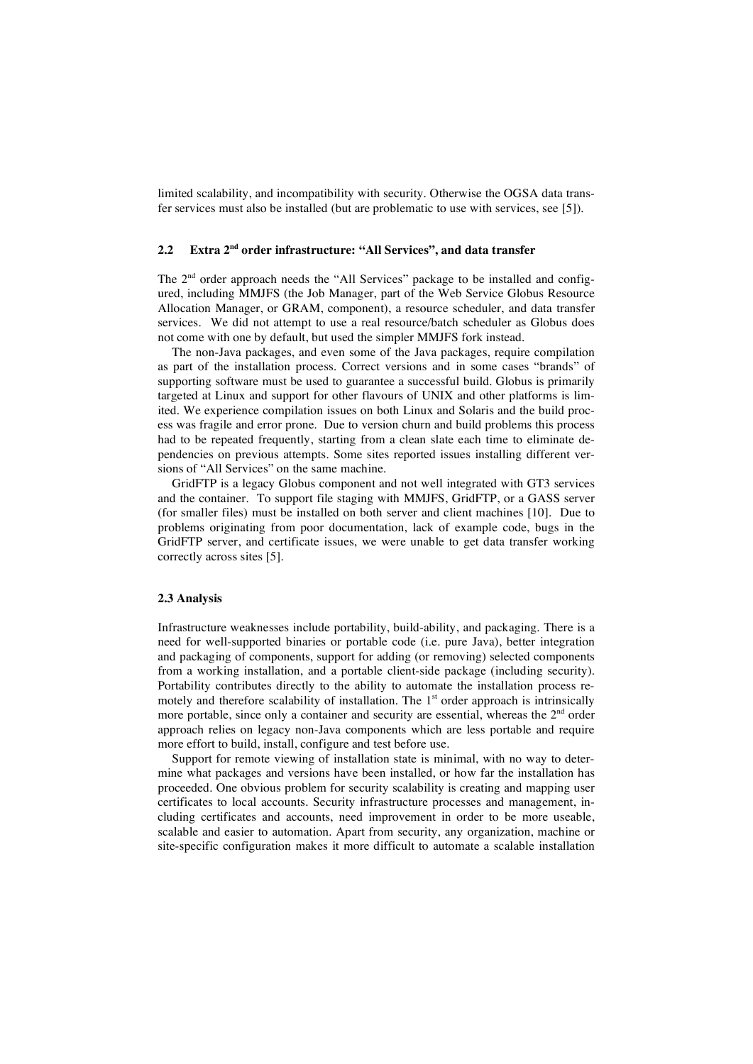limited scalability, and incompatibility with security. Otherwise the OGSA data transfer services must also be installed (but are problematic to use with services, see [5]).

## **2.2 Extra 2nd order infrastructure: "All Services", and data transfer**

The 2<sup>nd</sup> order approach needs the "All Services" package to be installed and configured, including MMJFS (the Job Manager, part of the Web Service Globus Resource Allocation Manager, or GRAM, component), a resource scheduler, and data transfer services. We did not attempt to use a real resource/batch scheduler as Globus does not come with one by default, but used the simpler MMJFS fork instead.

The non-Java packages, and even some of the Java packages, require compilation as part of the installation process. Correct versions and in some cases "brands" of supporting software must be used to guarantee a successful build. Globus is primarily targeted at Linux and support for other flavours of UNIX and other platforms is limited. We experience compilation issues on both Linux and Solaris and the build process was fragile and error prone. Due to version churn and build problems this process had to be repeated frequently, starting from a clean slate each time to eliminate dependencies on previous attempts. Some sites reported issues installing different versions of "All Services" on the same machine.

GridFTP is a legacy Globus component and not well integrated with GT3 services and the container. To support file staging with MMJFS, GridFTP, or a GASS server (for smaller files) must be installed on both server and client machines [10]. Due to problems originating from poor documentation, lack of example code, bugs in the GridFTP server, and certificate issues, we were unable to get data transfer working correctly across sites [5].

#### **2.3 Analysis**

Infrastructure weaknesses include portability, build-ability, and packaging. There is a need for well-supported binaries or portable code (i.e. pure Java), better integration and packaging of components, support for adding (or removing) selected components from a working installation, and a portable client-side package (including security). Portability contributes directly to the ability to automate the installation process remotely and therefore scalability of installation. The  $1<sup>st</sup>$  order approach is intrinsically more portable, since only a container and security are essential, whereas the  $2<sup>nd</sup>$  order approach relies on legacy non-Java components which are less portable and require more effort to build, install, configure and test before use.

Support for remote viewing of installation state is minimal, with no way to determine what packages and versions have been installed, or how far the installation has proceeded. One obvious problem for security scalability is creating and mapping user certificates to local accounts. Security infrastructure processes and management, including certificates and accounts, need improvement in order to be more useable, scalable and easier to automation. Apart from security, any organization, machine or site-specific configuration makes it more difficult to automate a scalable installation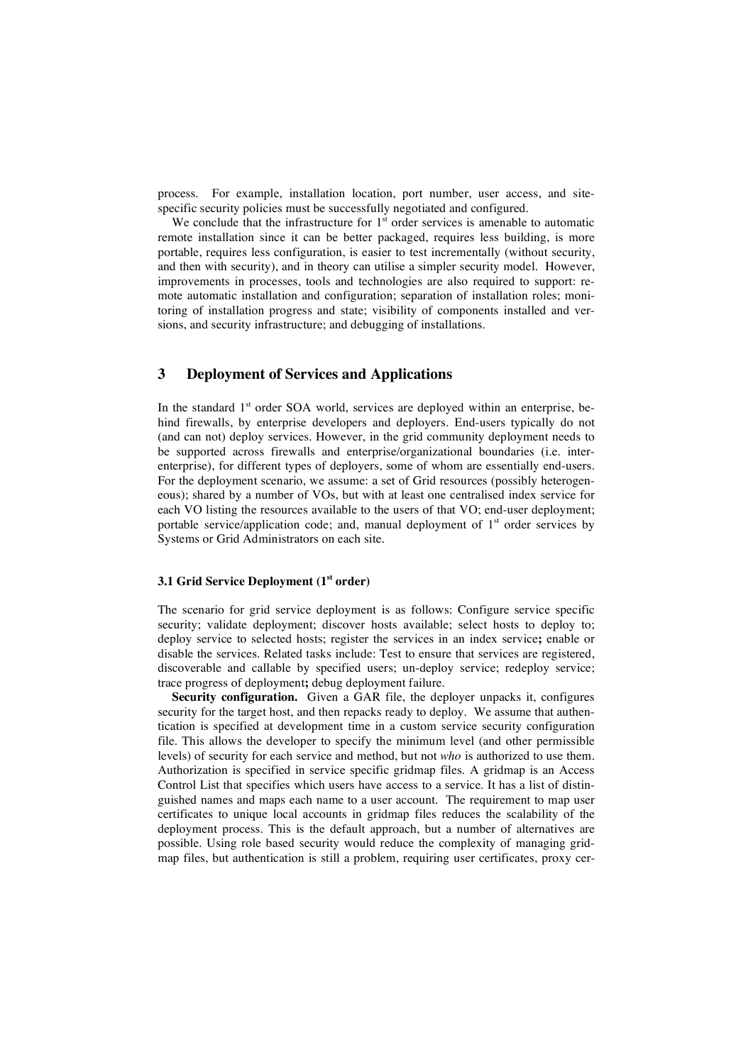process. For example, installation location, port number, user access, and sitespecific security policies must be successfully negotiated and configured.

We conclude that the infrastructure for  $1<sup>st</sup>$  order services is amenable to automatic remote installation since it can be better packaged, requires less building, is more portable, requires less configuration, is easier to test incrementally (without security, and then with security), and in theory can utilise a simpler security model. However, improvements in processes, tools and technologies are also required to support: remote automatic installation and configuration; separation of installation roles; monitoring of installation progress and state; visibility of components installed and versions, and security infrastructure; and debugging of installations.

## **3 Deployment of Services and Applications**

In the standard 1<sup>st</sup> order SOA world, services are deployed within an enterprise, behind firewalls, by enterprise developers and deployers. End-users typically do not (and can not) deploy services. However, in the grid community deployment needs to be supported across firewalls and enterprise/organizational boundaries (i.e. interenterprise), for different types of deployers, some of whom are essentially end-users. For the deployment scenario, we assume: a set of Grid resources (possibly heterogeneous); shared by a number of VOs, but with at least one centralised index service for each VO listing the resources available to the users of that VO; end-user deployment; portable service/application code; and, manual deployment of  $1<sup>st</sup>$  order services by Systems or Grid Administrators on each site.

#### **3.1 Grid Service Deployment (1st order)**

The scenario for grid service deployment is as follows: Configure service specific security; validate deployment; discover hosts available; select hosts to deploy to; deploy service to selected hosts; register the services in an index service**;** enable or disable the services. Related tasks include: Test to ensure that services are registered, discoverable and callable by specified users; un-deploy service; redeploy service; trace progress of deployment**;** debug deployment failure.

**Security configuration.** Given a GAR file, the deployer unpacks it, configures security for the target host, and then repacks ready to deploy. We assume that authentication is specified at development time in a custom service security configuration file. This allows the developer to specify the minimum level (and other permissible levels) of security for each service and method, but not *who* is authorized to use them. Authorization is specified in service specific gridmap files. A gridmap is an Access Control List that specifies which users have access to a service. It has a list of distinguished names and maps each name to a user account. The requirement to map user certificates to unique local accounts in gridmap files reduces the scalability of the deployment process. This is the default approach, but a number of alternatives are possible. Using role based security would reduce the complexity of managing gridmap files, but authentication is still a problem, requiring user certificates, proxy cer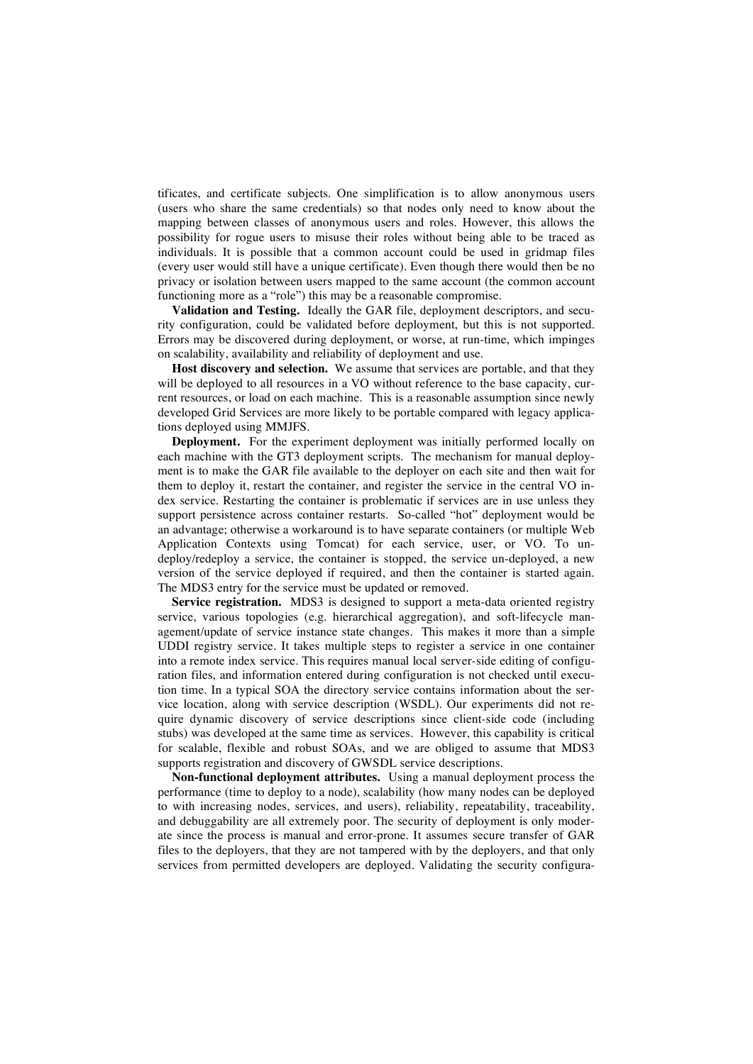tificates, and certificate subjects. One simplification is to allow anonymous users (users who share the same credentials) so that nodes only need to know about the mapping between classes of anonymous users and roles. However, this allows the possibility for rogue users to misuse their roles without being able to be traced as individuals. It is possible that a common account could be used in gridmap files (every user would still have a unique certificate). Even though there would then be no privacy or isolation between users mapped to the same account (the common account functioning more as a "role") this may be a reasonable compromise.

**Validation and Testing.** Ideally the GAR file, deployment descriptors, and security configuration, could be validated before deployment, but this is not supported. Errors may be discovered during deployment, or worse, at run-time, which impinges on scalability, availability and reliability of deployment and use.

**Host discovery and selection.** We assume that services are portable, and that they will be deployed to all resources in a VO without reference to the base capacity, current resources, or load on each machine. This is a reasonable assumption since newly developed Grid Services are more likely to be portable compared with legacy applications deployed using MMJFS.

**Deployment.** For the experiment deployment was initially performed locally on each machine with the GT3 deployment scripts. The mechanism for manual deployment is to make the GAR file available to the deployer on each site and then wait for them to deploy it, restart the container, and register the service in the central VO index service. Restarting the container is problematic if services are in use unless they support persistence across container restarts. So-called "hot" deployment would be an advantage; otherwise a workaround is to have separate containers (or multiple Web Application Contexts using Tomcat) for each service, user, or VO. To undeploy/redeploy a service, the container is stopped, the service un-deployed, a new version of the service deployed if required, and then the container is started again. The MDS3 entry for the service must be updated or removed.

**Service registration.** MDS3 is designed to support a meta-data oriented registry service, various topologies (e.g. hierarchical aggregation), and soft-lifecycle management/update of service instance state changes. This makes it more than a simple UDDI registry service. It takes multiple steps to register a service in one container into a remote index service. This requires manual local server-side editing of configuration files, and information entered during configuration is not checked until execution time. In a typical SOA the directory service contains information about the service location, along with service description (WSDL). Our experiments did not require dynamic discovery of service descriptions since client-side code (including stubs) was developed at the same time as services. However, this capability is critical for scalable, flexible and robust SOAs, and we are obliged to assume that MDS3 supports registration and discovery of GWSDL service descriptions.

**Non-functional deployment attributes.** Using a manual deployment process the performance (time to deploy to a node), scalability (how many nodes can be deployed to with increasing nodes, services, and users), reliability, repeatability, traceability, and debuggability are all extremely poor. The security of deployment is only moderate since the process is manual and error-prone. It assumes secure transfer of GAR files to the deployers, that they are not tampered with by the deployers, and that only services from permitted developers are deployed. Validating the security configura-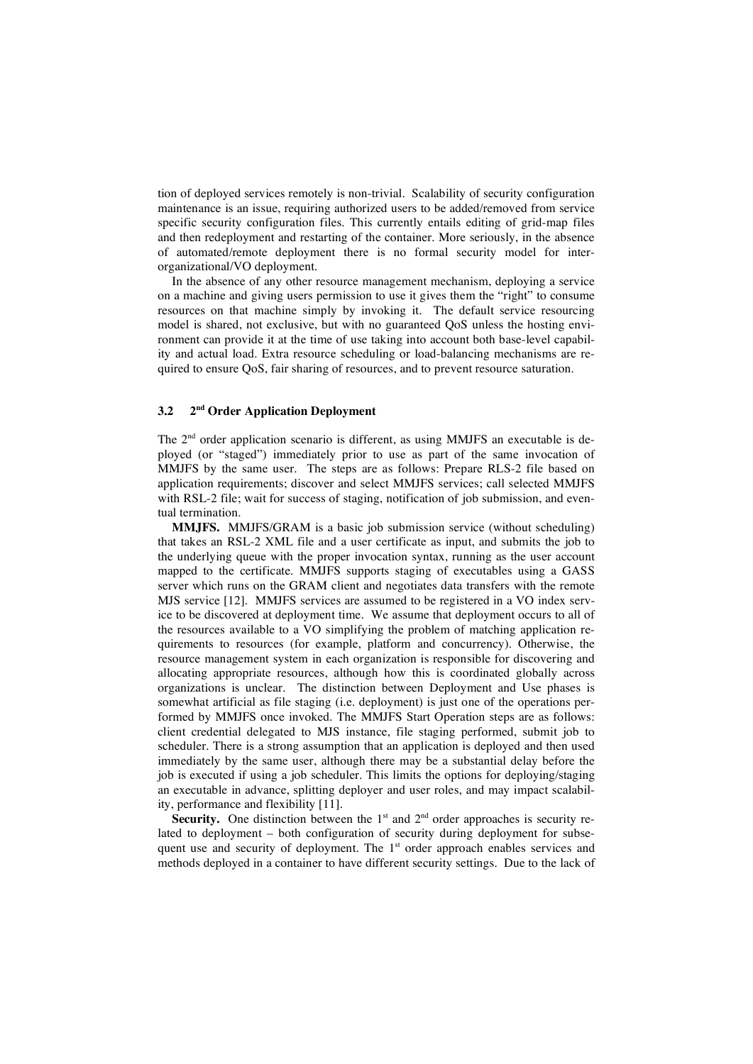tion of deployed services remotely is non-trivial. Scalability of security configuration maintenance is an issue, requiring authorized users to be added/removed from service specific security configuration files. This currently entails editing of grid-map files and then redeployment and restarting of the container. More seriously, in the absence of automated/remote deployment there is no formal security model for interorganizational/VO deployment.

In the absence of any other resource management mechanism, deploying a service on a machine and giving users permission to use it gives them the "right" to consume resources on that machine simply by invoking it. The default service resourcing model is shared, not exclusive, but with no guaranteed QoS unless the hosting environment can provide it at the time of use taking into account both base-level capability and actual load. Extra resource scheduling or load-balancing mechanisms are required to ensure QoS, fair sharing of resources, and to prevent resource saturation.

### **3.2 2nd Order Application Deployment**

The  $2<sup>nd</sup>$  order application scenario is different, as using MMJFS an executable is deployed (or "staged") immediately prior to use as part of the same invocation of MMJFS by the same user. The steps are as follows: Prepare RLS-2 file based on application requirements; discover and select MMJFS services; call selected MMJFS with RSL-2 file; wait for success of staging, notification of job submission, and eventual termination.

**MMJFS.** MMJFS/GRAM is a basic job submission service (without scheduling) that takes an RSL-2 XML file and a user certificate as input, and submits the job to the underlying queue with the proper invocation syntax, running as the user account mapped to the certificate. MMJFS supports staging of executables using a GASS server which runs on the GRAM client and negotiates data transfers with the remote MJS service [12]. MMJFS services are assumed to be registered in a VO index service to be discovered at deployment time. We assume that deployment occurs to all of the resources available to a VO simplifying the problem of matching application requirements to resources (for example, platform and concurrency). Otherwise, the resource management system in each organization is responsible for discovering and allocating appropriate resources, although how this is coordinated globally across organizations is unclear. The distinction between Deployment and Use phases is somewhat artificial as file staging (i.e. deployment) is just one of the operations performed by MMJFS once invoked. The MMJFS Start Operation steps are as follows: client credential delegated to MJS instance, file staging performed, submit job to scheduler. There is a strong assumption that an application is deployed and then used immediately by the same user, although there may be a substantial delay before the job is executed if using a job scheduler. This limits the options for deploying/staging an executable in advance, splitting deployer and user roles, and may impact scalability, performance and flexibility [11].

**Security.** One distinction between the  $1<sup>st</sup>$  and  $2<sup>nd</sup>$  order approaches is security related to deployment – both configuration of security during deployment for subsequent use and security of deployment. The  $1<sup>st</sup>$  order approach enables services and methods deployed in a container to have different security settings. Due to the lack of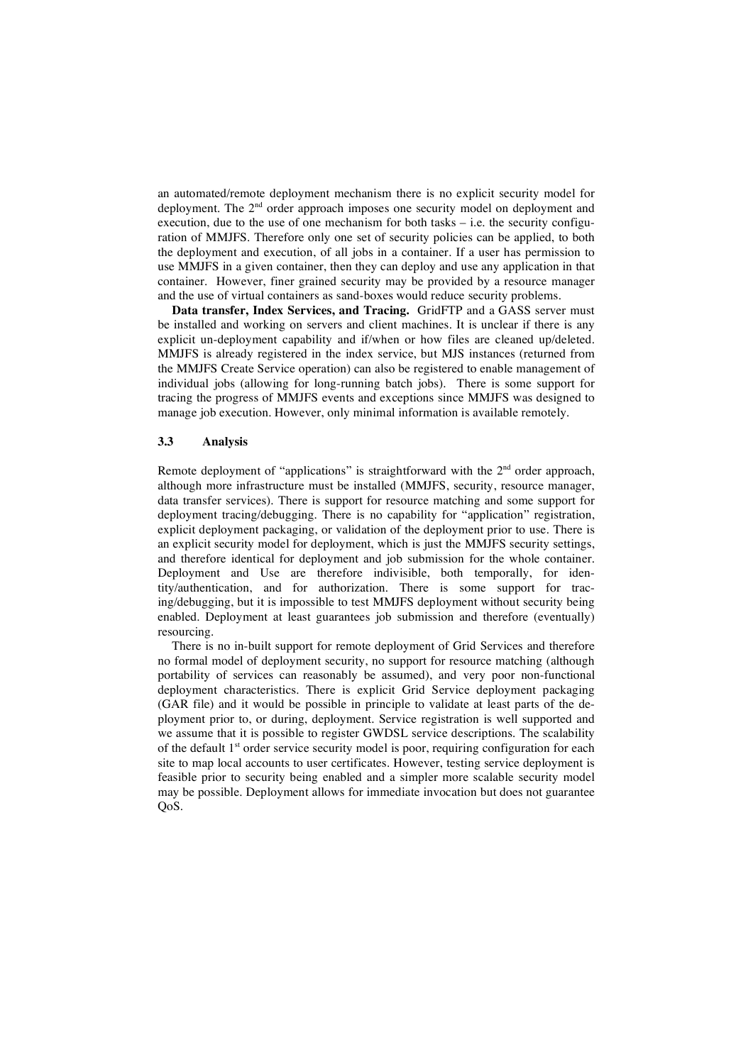an automated/remote deployment mechanism there is no explicit security model for deployment. The 2<sup>nd</sup> order approach imposes one security model on deployment and execution, due to the use of one mechanism for both tasks – i.e. the security configuration of MMJFS. Therefore only one set of security policies can be applied, to both the deployment and execution, of all jobs in a container. If a user has permission to use MMJFS in a given container, then they can deploy and use any application in that container. However, finer grained security may be provided by a resource manager and the use of virtual containers as sand-boxes would reduce security problems.

**Data transfer, Index Services, and Tracing.** GridFTP and a GASS server must be installed and working on servers and client machines. It is unclear if there is any explicit un-deployment capability and if/when or how files are cleaned up/deleted. MMJFS is already registered in the index service, but MJS instances (returned from the MMJFS Create Service operation) can also be registered to enable management of individual jobs (allowing for long-running batch jobs). There is some support for tracing the progress of MMJFS events and exceptions since MMJFS was designed to manage job execution. However, only minimal information is available remotely.

#### **3.3 Analysis**

Remote deployment of "applications" is straightforward with the  $2<sup>nd</sup>$  order approach, although more infrastructure must be installed (MMJFS, security, resource manager, data transfer services). There is support for resource matching and some support for deployment tracing/debugging. There is no capability for "application" registration, explicit deployment packaging, or validation of the deployment prior to use. There is an explicit security model for deployment, which is just the MMJFS security settings, and therefore identical for deployment and job submission for the whole container. Deployment and Use are therefore indivisible, both temporally, for identity/authentication, and for authorization. There is some support for tracing/debugging, but it is impossible to test MMJFS deployment without security being enabled. Deployment at least guarantees job submission and therefore (eventually) resourcing.

There is no in-built support for remote deployment of Grid Services and therefore no formal model of deployment security, no support for resource matching (although portability of services can reasonably be assumed), and very poor non-functional deployment characteristics. There is explicit Grid Service deployment packaging (GAR file) and it would be possible in principle to validate at least parts of the deployment prior to, or during, deployment. Service registration is well supported and we assume that it is possible to register GWDSL service descriptions. The scalability of the default  $1<sup>st</sup>$  order service security model is poor, requiring configuration for each site to map local accounts to user certificates. However, testing service deployment is feasible prior to security being enabled and a simpler more scalable security model may be possible. Deployment allows for immediate invocation but does not guarantee QoS.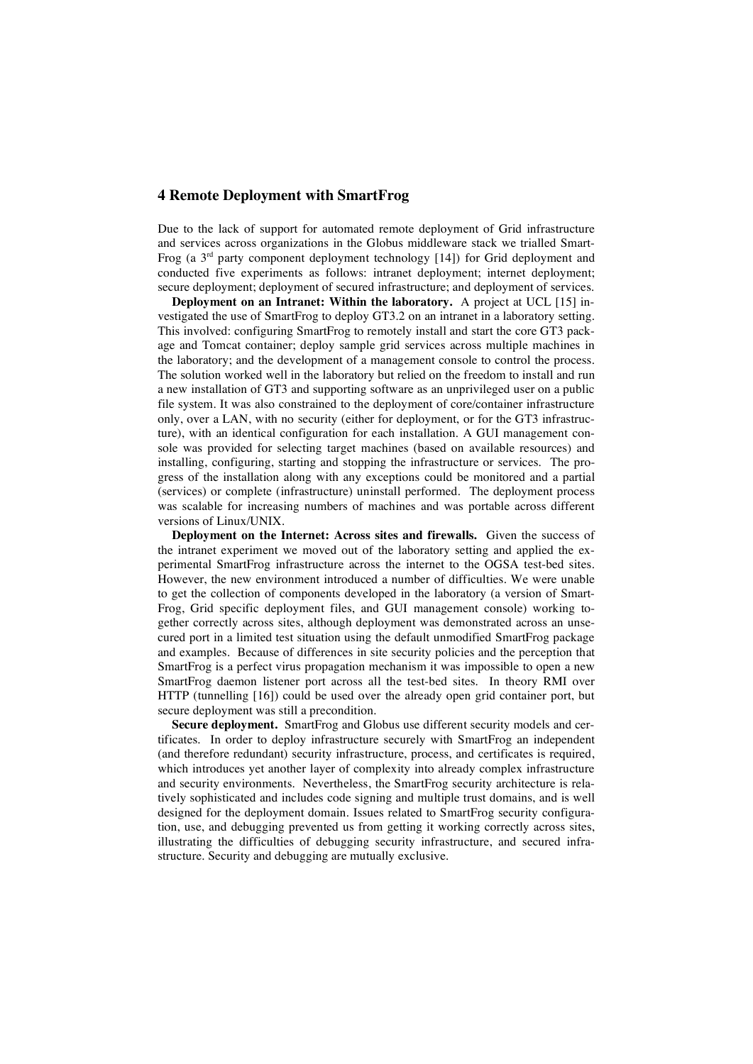## **4 Remote Deployment with SmartFrog**

Due to the lack of support for automated remote deployment of Grid infrastructure and services across organizations in the Globus middleware stack we trialled Smart-Frog (a  $3<sup>rd</sup>$  party component deployment technology [14]) for Grid deployment and conducted five experiments as follows: intranet deployment; internet deployment; secure deployment; deployment of secured infrastructure; and deployment of services.

**Deployment on an Intranet: Within the laboratory.** A project at UCL [15] investigated the use of SmartFrog to deploy GT3.2 on an intranet in a laboratory setting. This involved: configuring SmartFrog to remotely install and start the core GT3 package and Tomcat container; deploy sample grid services across multiple machines in the laboratory; and the development of a management console to control the process. The solution worked well in the laboratory but relied on the freedom to install and run a new installation of GT3 and supporting software as an unprivileged user on a public file system. It was also constrained to the deployment of core/container infrastructure only, over a LAN, with no security (either for deployment, or for the GT3 infrastructure), with an identical configuration for each installation. A GUI management console was provided for selecting target machines (based on available resources) and installing, configuring, starting and stopping the infrastructure or services. The progress of the installation along with any exceptions could be monitored and a partial (services) or complete (infrastructure) uninstall performed. The deployment process was scalable for increasing numbers of machines and was portable across different versions of Linux/UNIX.

**Deployment on the Internet: Across sites and firewalls.** Given the success of the intranet experiment we moved out of the laboratory setting and applied the experimental SmartFrog infrastructure across the internet to the OGSA test-bed sites. However, the new environment introduced a number of difficulties. We were unable to get the collection of components developed in the laboratory (a version of Smart-Frog, Grid specific deployment files, and GUI management console) working together correctly across sites, although deployment was demonstrated across an unsecured port in a limited test situation using the default unmodified SmartFrog package and examples. Because of differences in site security policies and the perception that SmartFrog is a perfect virus propagation mechanism it was impossible to open a new SmartFrog daemon listener port across all the test-bed sites. In theory RMI over HTTP (tunnelling [16]) could be used over the already open grid container port, but secure deployment was still a precondition.

**Secure deployment.** SmartFrog and Globus use different security models and certificates. In order to deploy infrastructure securely with SmartFrog an independent (and therefore redundant) security infrastructure, process, and certificates is required, which introduces yet another layer of complexity into already complex infrastructure and security environments. Nevertheless, the SmartFrog security architecture is relatively sophisticated and includes code signing and multiple trust domains, and is well designed for the deployment domain. Issues related to SmartFrog security configuration, use, and debugging prevented us from getting it working correctly across sites, illustrating the difficulties of debugging security infrastructure, and secured infrastructure. Security and debugging are mutually exclusive.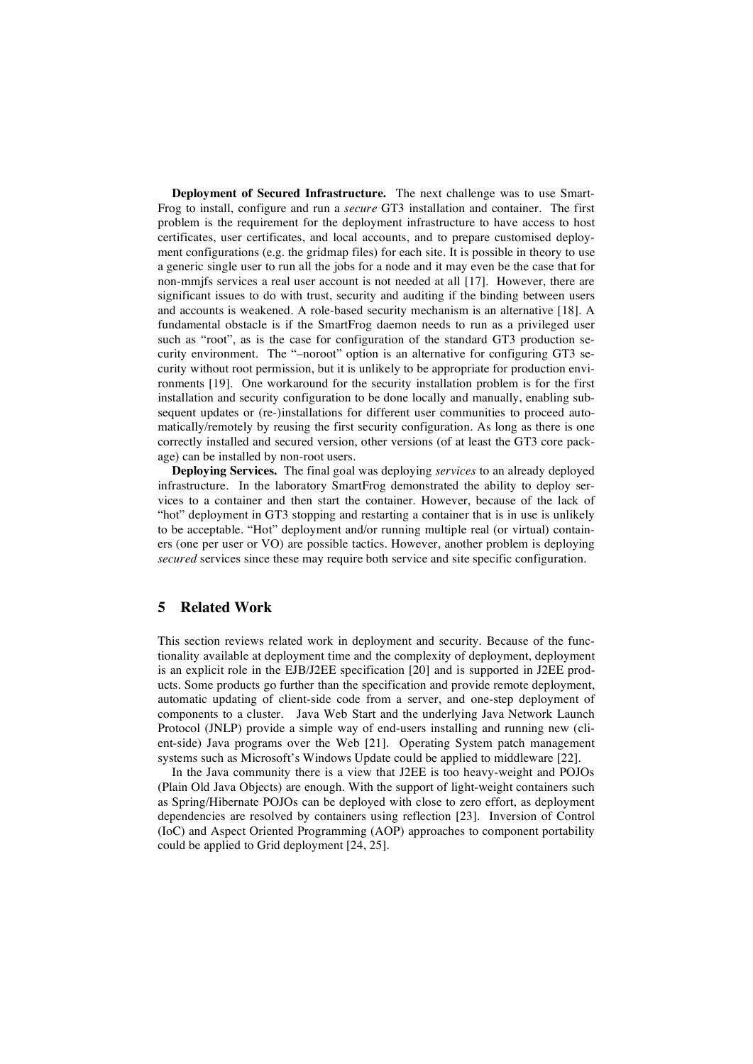**Deployment of Secured Infrastructure.** The next challenge was to use Smart-Frog to install, configure and run a *secure* GT3 installation and container. The first problem is the requirement for the deployment infrastructure to have access to host certificates, user certificates, and local accounts, and to prepare customised deployment configurations (e.g. the gridmap files) for each site. It is possible in theory to use a generic single user to run all the jobs for a node and it may even be the case that for non-mmjfs services a real user account is not needed at all [17]. However, there are significant issues to do with trust, security and auditing if the binding between users and accounts is weakened. A role-based security mechanism is an alternative [18]. A fundamental obstacle is if the SmartFrog daemon needs to run as a privileged user such as "root", as is the case for configuration of the standard GT3 production security environment. The "–noroot" option is an alternative for configuring GT3 security without root permission, but it is unlikely to be appropriate for production environments [19]. One workaround for the security installation problem is for the first installation and security configuration to be done locally and manually, enabling subsequent updates or (re-)installations for different user communities to proceed automatically/remotely by reusing the first security configuration. As long as there is one correctly installed and secured version, other versions (of at least the GT3 core package) can be installed by non-root users.

**Deploying Services.** The final goal was deploying *services* to an already deployed infrastructure. In the laboratory SmartFrog demonstrated the ability to deploy services to a container and then start the container. However, because of the lack of "hot" deployment in GT3 stopping and restarting a container that is in use is unlikely to be acceptable. "Hot" deployment and/or running multiple real (or virtual) containers (one per user or VO) are possible tactics. However, another problem is deploying *secured* services since these may require both service and site specific configuration.

## **5 Related Work**

This section reviews related work in deployment and security. Because of the functionality available at deployment time and the complexity of deployment, deployment is an explicit role in the EJB/J2EE specification [20] and is supported in J2EE products. Some products go further than the specification and provide remote deployment, automatic updating of client-side code from a server, and one-step deployment of components to a cluster. Java Web Start and the underlying Java Network Launch Protocol (JNLP) provide a simple way of end-users installing and running new (client-side) Java programs over the Web [21]. Operating System patch management systems such as Microsoft's Windows Update could be applied to middleware [22].

In the Java community there is a view that J2EE is too heavy-weight and POJOs (Plain Old Java Objects) are enough. With the support of light-weight containers such as Spring/Hibernate POJOs can be deployed with close to zero effort, as deployment dependencies are resolved by containers using reflection [23]. Inversion of Control (IoC) and Aspect Oriented Programming (AOP) approaches to component portability could be applied to Grid deployment [24, 25].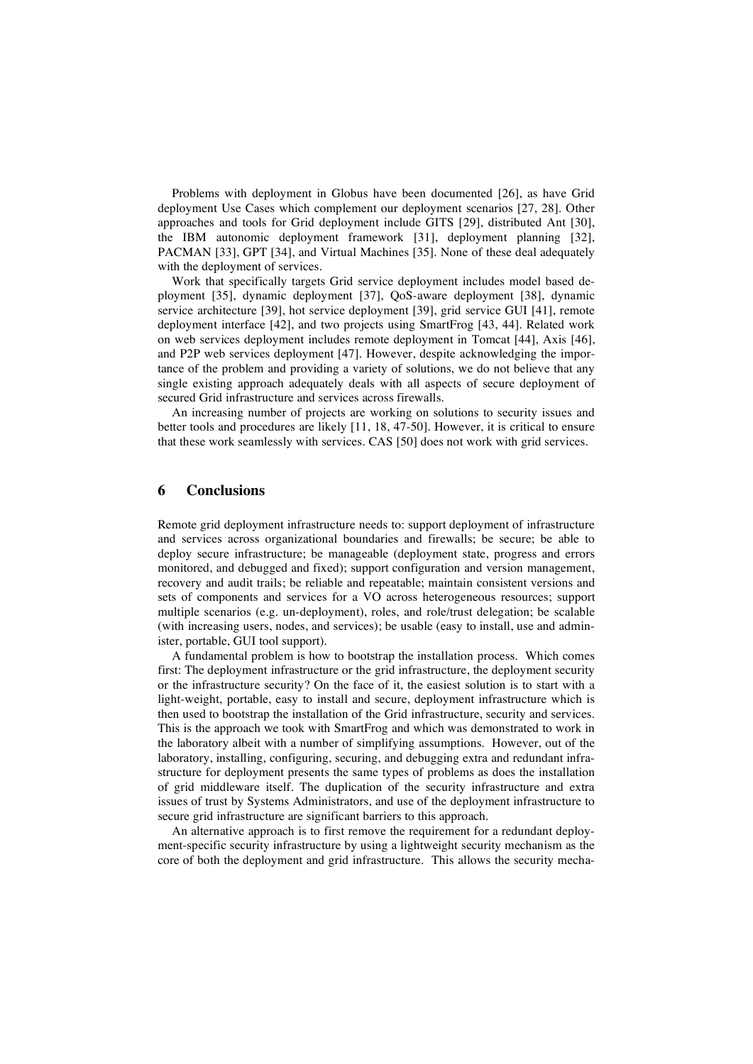Problems with deployment in Globus have been documented [26], as have Grid deployment Use Cases which complement our deployment scenarios [27, 28]. Other approaches and tools for Grid deployment include GITS [29], distributed Ant [30], the IBM autonomic deployment framework [31], deployment planning [32], PACMAN [33], GPT [34], and Virtual Machines [35]. None of these deal adequately with the deployment of services.

Work that specifically targets Grid service deployment includes model based deployment [35], dynamic deployment [37], QoS-aware deployment [38], dynamic service architecture [39], hot service deployment [39], grid service GUI [41], remote deployment interface [42], and two projects using SmartFrog [43, 44]. Related work on web services deployment includes remote deployment in Tomcat [44], Axis [46], and P2P web services deployment [47]. However, despite acknowledging the importance of the problem and providing a variety of solutions, we do not believe that any single existing approach adequately deals with all aspects of secure deployment of secured Grid infrastructure and services across firewalls.

An increasing number of projects are working on solutions to security issues and better tools and procedures are likely [11, 18, 47-50]. However, it is critical to ensure that these work seamlessly with services. CAS [50] does not work with grid services.

## **6 Conclusions**

Remote grid deployment infrastructure needs to: support deployment of infrastructure and services across organizational boundaries and firewalls; be secure; be able to deploy secure infrastructure; be manageable (deployment state, progress and errors monitored, and debugged and fixed); support configuration and version management, recovery and audit trails; be reliable and repeatable; maintain consistent versions and sets of components and services for a VO across heterogeneous resources; support multiple scenarios (e.g. un-deployment), roles, and role/trust delegation; be scalable (with increasing users, nodes, and services); be usable (easy to install, use and administer, portable, GUI tool support).

A fundamental problem is how to bootstrap the installation process. Which comes first: The deployment infrastructure or the grid infrastructure, the deployment security or the infrastructure security? On the face of it, the easiest solution is to start with a light-weight, portable, easy to install and secure, deployment infrastructure which is then used to bootstrap the installation of the Grid infrastructure, security and services. This is the approach we took with SmartFrog and which was demonstrated to work in the laboratory albeit with a number of simplifying assumptions. However, out of the laboratory, installing, configuring, securing, and debugging extra and redundant infrastructure for deployment presents the same types of problems as does the installation of grid middleware itself. The duplication of the security infrastructure and extra issues of trust by Systems Administrators, and use of the deployment infrastructure to secure grid infrastructure are significant barriers to this approach.

An alternative approach is to first remove the requirement for a redundant deployment-specific security infrastructure by using a lightweight security mechanism as the core of both the deployment and grid infrastructure. This allows the security mecha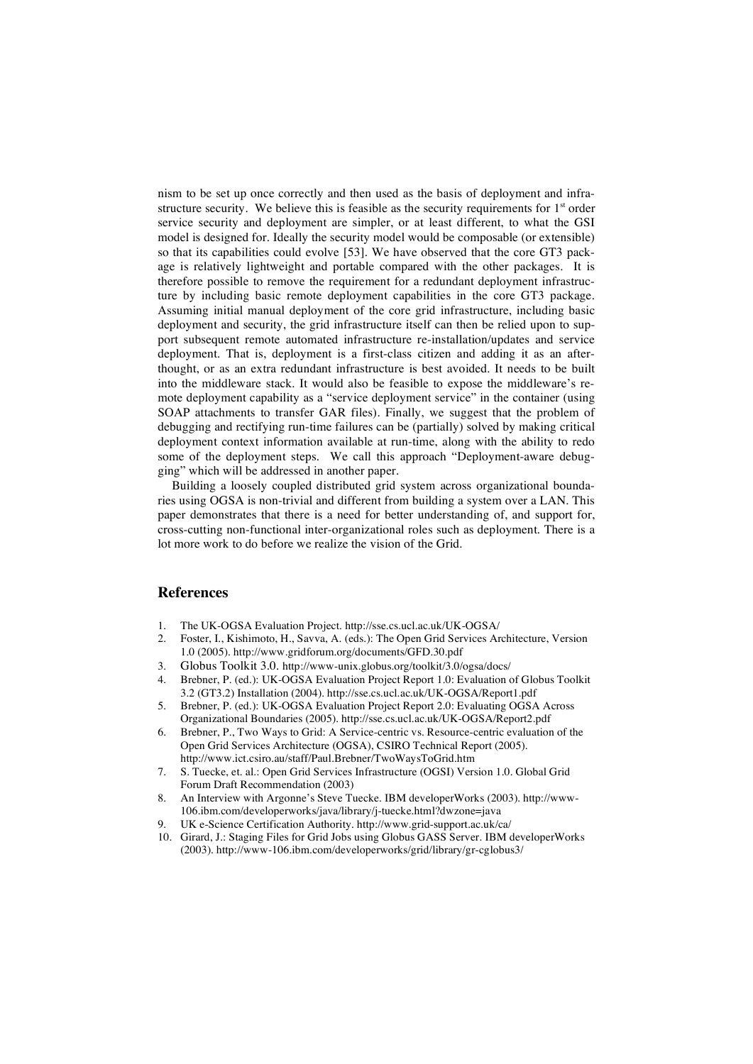nism to be set up once correctly and then used as the basis of deployment and infrastructure security. We believe this is feasible as the security requirements for  $1<sup>st</sup>$  order service security and deployment are simpler, or at least different, to what the GSI model is designed for. Ideally the security model would be composable (or extensible) so that its capabilities could evolve [53]. We have observed that the core GT3 package is relatively lightweight and portable compared with the other packages. It is therefore possible to remove the requirement for a redundant deployment infrastructure by including basic remote deployment capabilities in the core GT3 package. Assuming initial manual deployment of the core grid infrastructure, including basic deployment and security, the grid infrastructure itself can then be relied upon to support subsequent remote automated infrastructure re-installation/updates and service deployment. That is, deployment is a first-class citizen and adding it as an afterthought, or as an extra redundant infrastructure is best avoided. It needs to be built into the middleware stack. It would also be feasible to expose the middleware's remote deployment capability as a "service deployment service" in the container (using SOAP attachments to transfer GAR files). Finally, we suggest that the problem of debugging and rectifying run-time failures can be (partially) solved by making critical deployment context information available at run-time, along with the ability to redo some of the deployment steps. We call this approach "Deployment-aware debugging" which will be addressed in another paper.

Building a loosely coupled distributed grid system across organizational boundaries using OGSA is non-trivial and different from building a system over a LAN. This paper demonstrates that there is a need for better understanding of, and support for, cross-cutting non-functional inter-organizational roles such as deployment. There is a lot more work to do before we realize the vision of the Grid.

## **References**

- 1. The UK-OGSA Evaluation Project. http://sse.cs.ucl.ac.uk/UK-OGSA/
- 2. Foster, I., Kishimoto, H., Savva, A. (eds.): The Open Grid Services Architecture, Version 1.0 (2005). http://www.gridforum.org/documents/GFD.30.pdf
- 3. Globus Toolkit 3.0. http://www-unix.globus.org/toolkit/3.0/ogsa/docs/
- 4. Brebner, P. (ed.): UK-OGSA Evaluation Project Report 1.0: Evaluation of Globus Toolkit 3.2 (GT3.2) Installation (2004). http://sse.cs.ucl.ac.uk/UK-OGSA/Report1.pdf
- 5. Brebner, P. (ed.): UK-OGSA Evaluation Project Report 2.0: Evaluating OGSA Across Organizational Boundaries (2005). http://sse.cs.ucl.ac.uk/UK-OGSA/Report2.pdf
- 6. Brebner, P., Two Ways to Grid: A Service-centric vs. Resource-centric evaluation of the Open Grid Services Architecture (OGSA), CSIRO Technical Report (2005). http://www.ict.csiro.au/staff/Paul.Brebner/TwoWaysToGrid.htm
- 7. S. Tuecke, et. al.: Open Grid Services Infrastructure (OGSI) Version 1.0. Global Grid Forum Draft Recommendation (2003)
- 8. An Interview with Argonne's Steve Tuecke. IBM developerWorks (2003). http://www-106.ibm.com/developerworks/java/library/j-tuecke.html?dwzone=java
- 9. UK e-Science Certification Authority. http://www.grid-support.ac.uk/ca/
- 10. Girard, J.: Staging Files for Grid Jobs using Globus GASS Server. IBM developerWorks (2003). http://www-106.ibm.com/developerworks/grid/library/gr-cglobus3/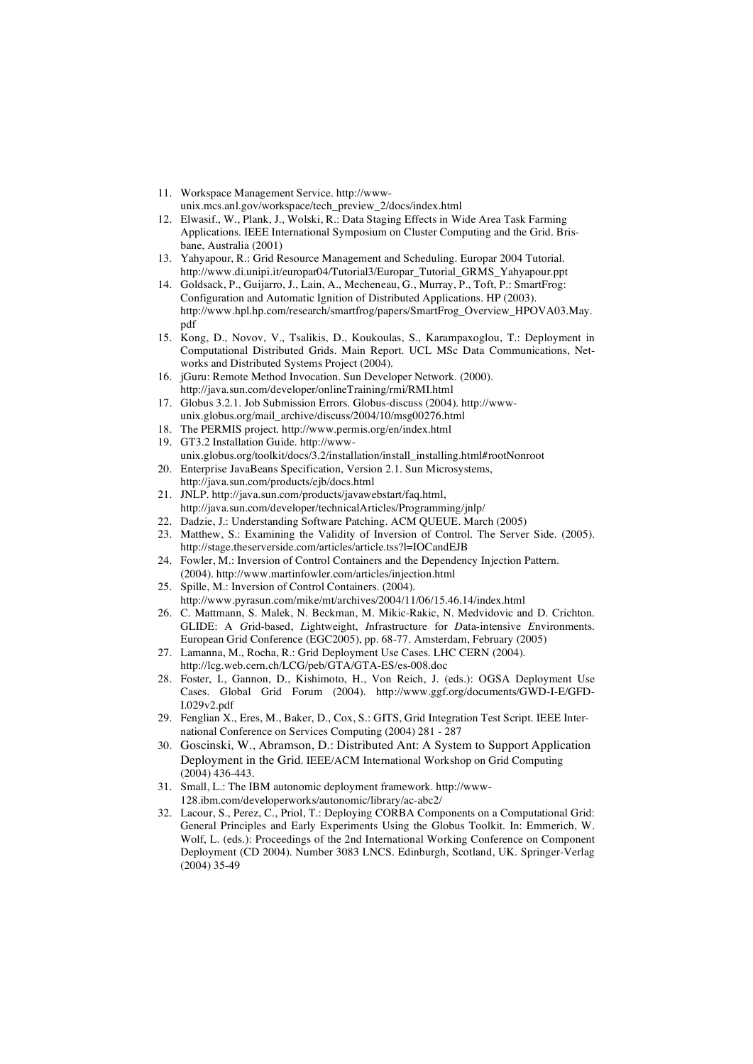- 11. Workspace Management Service. http://wwwunix.mcs.anl.gov/workspace/tech\_preview\_2/docs/index.html
- 12. Elwasif., W., Plank, J., Wolski, R.: Data Staging Effects in Wide Area Task Farming Applications. IEEE International Symposium on Cluster Computing and the Grid. Brisbane, Australia (2001)
- 13. Yahyapour, R.: Grid Resource Management and Scheduling. Europar 2004 Tutorial. http://www.di.unipi.it/europar04/Tutorial3/Europar\_Tutorial\_GRMS\_Yahyapour.ppt
- 14. Goldsack, P., Guijarro, J., Lain, A., Mecheneau, G., Murray, P., Toft, P.: SmartFrog: Configuration and Automatic Ignition of Distributed Applications. HP (2003). http://www.hpl.hp.com/research/smartfrog/papers/SmartFrog\_Overview\_HPOVA03.May. pdf
- 15. Kong, D., Novov, V., Tsalikis, D., Koukoulas, S., Karampaxoglou, T.: Deployment in Computational Distributed Grids. Main Report. UCL MSc Data Communications, Networks and Distributed Systems Project (2004).
- 16. jGuru: Remote Method Invocation. Sun Developer Network. (2000). http://java.sun.com/developer/onlineTraining/rmi/RMI.html
- 17. Globus 3.2.1. Job Submission Errors. Globus-discuss (2004). http://wwwunix.globus.org/mail\_archive/discuss/2004/10/msg00276.html
- 18. The PERMIS project. http://www.permis.org/en/index.html
- 19. GT3.2 Installation Guide. http://wwwunix.globus.org/toolkit/docs/3.2/installation/install\_installing.html#rootNonroot
- 20. Enterprise JavaBeans Specification, Version 2.1. Sun Microsystems, http://java.sun.com/products/ejb/docs.html
- 21. JNLP. http://java.sun.com/products/javawebstart/faq.html, http://java.sun.com/developer/technicalArticles/Programming/jnlp/
- 22. Dadzie, J.: Understanding Software Patching. ACM QUEUE. March (2005)
- 23. Matthew, S.: Examining the Validity of Inversion of Control. The Server Side. (2005). http://stage.theserverside.com/articles/article.tss?l=IOCandEJB
- 24. Fowler, M.: Inversion of Control Containers and the Dependency Injection Pattern. (2004). http://www.martinfowler.com/articles/injection.html
- 25. Spille, M.: Inversion of Control Containers. (2004). http://www.pyrasun.com/mike/mt/archives/2004/11/06/15.46.14/index.html
- 26. C. Mattmann, S. Malek, N. Beckman, M. Mikic-Rakic, N. Medvidovic and D. Crichton. GLIDE: A *G*rid-based, *L*ightweight, *I*nfrastructure for *D*ata-intensive *E*nvironments. European Grid Conference (EGC2005), pp. 68-77. Amsterdam, February (2005)
- 27. Lamanna, M., Rocha, R.: Grid Deployment Use Cases. LHC CERN (2004). http://lcg.web.cern.ch/LCG/peb/GTA/GTA-ES/es-008.doc
- 28. Foster, I., Gannon, D., Kishimoto, H., Von Reich, J. (eds.): OGSA Deployment Use Cases. Global Grid Forum (2004). http://www.ggf.org/documents/GWD-I-E/GFD-I.029v2.pdf
- 29. Fenglian X., Eres, M., Baker, D., Cox, S.: GITS, Grid Integration Test Script. IEEE International Conference on Services Computing (2004) 281 - 287
- 30. Goscinski, W., Abramson, D.: Distributed Ant: A System to Support Application Deployment in the Grid. IEEE/ACM International Workshop on Grid Computing (2004) 436-443.
- 31. Small, L.: The IBM autonomic deployment framework. http://www-128.ibm.com/developerworks/autonomic/library/ac-abc2/
- 32. Lacour, S., Perez, C., Priol, T.: Deploying CORBA Components on a Computational Grid: General Principles and Early Experiments Using the Globus Toolkit. In: Emmerich, W. Wolf, L. (eds.): Proceedings of the 2nd International Working Conference on Component Deployment (CD 2004)*.* Number 3083 LNCS. Edinburgh, Scotland, UK. Springer-Verlag  $(2004)$  35-49